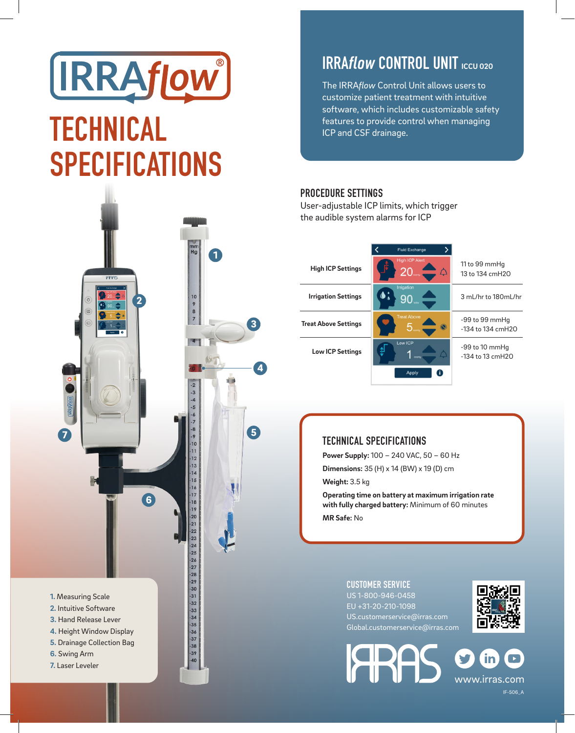# **IRRAflow** TECHNICAL SPECIFICATIONS



# **IRRAflow CONTROL UNIT ICCU 020**

The IRRA*flow* Control Unit allows users to customize patient treatment with intuitive software, which includes customizable safety features to provide control when managing ICP and CSF drainage.

#### PROCEDURE SETTINGS

User-adjustable ICP limits, which trigger the audible system alarms for ICP

|                             | <b>Fluid Exchange</b>                            |                                             |
|-----------------------------|--------------------------------------------------|---------------------------------------------|
| <b>High ICP Settings</b>    | <b>High ICP Alert</b><br>20 <sub>1</sub><br>♤    | 11 to 99 mmHg<br>13 to 134 cmH2O            |
| <b>Irrigation Settings</b>  | Irrigation<br>90                                 | 3 mL/hr to 180mL/hr                         |
| <b>Treat Above Settings</b> | <b>Treat Above</b><br>$\textcolor{red}{\bullet}$ | $-99$ to $99$ mmHq<br>$-134$ to $134$ cmH20 |
| <b>Low ICP Settings</b>     | Low ICP                                          | $-99$ to 10 mmHq<br>$-134$ to 13 cmH2O      |
|                             | Apply                                            |                                             |

### TECHNICAL SPECIFICATIONS

**Power Supply:** 100 – 240 VAC, 50 – 60 Hz **Dimensions:** 35 (H) x 14 (BW) x 19 (D) cm **Weight:** 3.5 kg

**Operating time on battery at maximum irrigation rate with fully charged battery:** Minimum of 60 minutes **MR Safe:** No

## CUSTOMER SERVICE

**ARA** 

US 1-800-946-0458 EU +31-20-210-1098 US.customerservice@irras.com Global.customerservice@irras.com



www.irras.com IF-506\_A